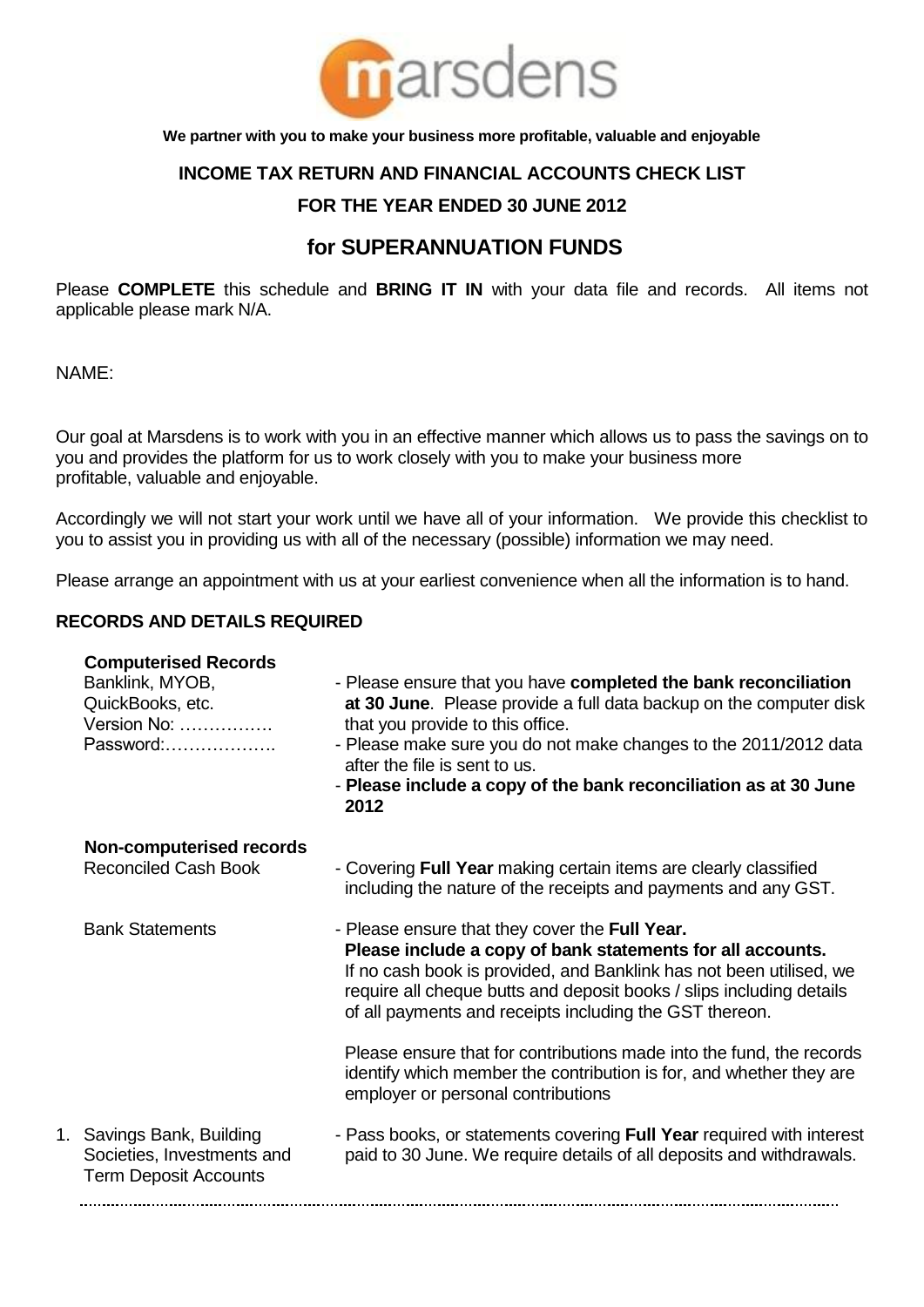

**We partner with you to make your business more profitable, valuable and enjoyable**

## **INCOME TAX RETURN AND FINANCIAL ACCOUNTS CHECK LIST**

## **FOR THE YEAR ENDED 30 JUNE 2012**

# **for SUPERANNUATION FUNDS**

Please **COMPLETE** this schedule and **BRING IT IN** with your data file and records. All items not applicable please mark N/A.

NAME:

Our goal at Marsdens is to work with you in an effective manner which allows us to pass the savings on to you and provides the platform for us to work closely with you to make your business more profitable, valuable and enjoyable.

Accordingly we will not start your work until we have all of your information. We provide this checklist to you to assist you in providing us with all of the necessary (possible) information we may need.

Please arrange an appointment with us at your earliest convenience when all the information is to hand.

#### **RECORDS AND DETAILS REQUIRED**

| <b>Computerised Records</b><br>Banklink, MYOB,<br>QuickBooks, etc.<br>Version No:<br>Password: | - Please ensure that you have completed the bank reconciliation<br>at 30 June. Please provide a full data backup on the computer disk<br>that you provide to this office.<br>- Please make sure you do not make changes to the 2011/2012 data<br>after the file is sent to us.<br>- Please include a copy of the bank reconciliation as at 30 June<br>2012 |
|------------------------------------------------------------------------------------------------|------------------------------------------------------------------------------------------------------------------------------------------------------------------------------------------------------------------------------------------------------------------------------------------------------------------------------------------------------------|
| <b>Non-computerised records</b><br><b>Reconciled Cash Book</b>                                 | - Covering Full Year making certain items are clearly classified<br>including the nature of the receipts and payments and any GST.                                                                                                                                                                                                                         |
| <b>Bank Statements</b>                                                                         | - Please ensure that they cover the Full Year.<br>Please include a copy of bank statements for all accounts.<br>If no cash book is provided, and Banklink has not been utilised, we<br>require all cheque butts and deposit books / slips including details<br>of all payments and receipts including the GST thereon.                                     |
|                                                                                                | Please ensure that for contributions made into the fund, the records<br>identify which member the contribution is for, and whether they are<br>employer or personal contributions                                                                                                                                                                          |
| 1. Savings Bank, Building<br>Societies, Investments and<br><b>Term Deposit Accounts</b>        | - Pass books, or statements covering Full Year required with interest<br>paid to 30 June. We require details of all deposits and withdrawals.                                                                                                                                                                                                              |
|                                                                                                |                                                                                                                                                                                                                                                                                                                                                            |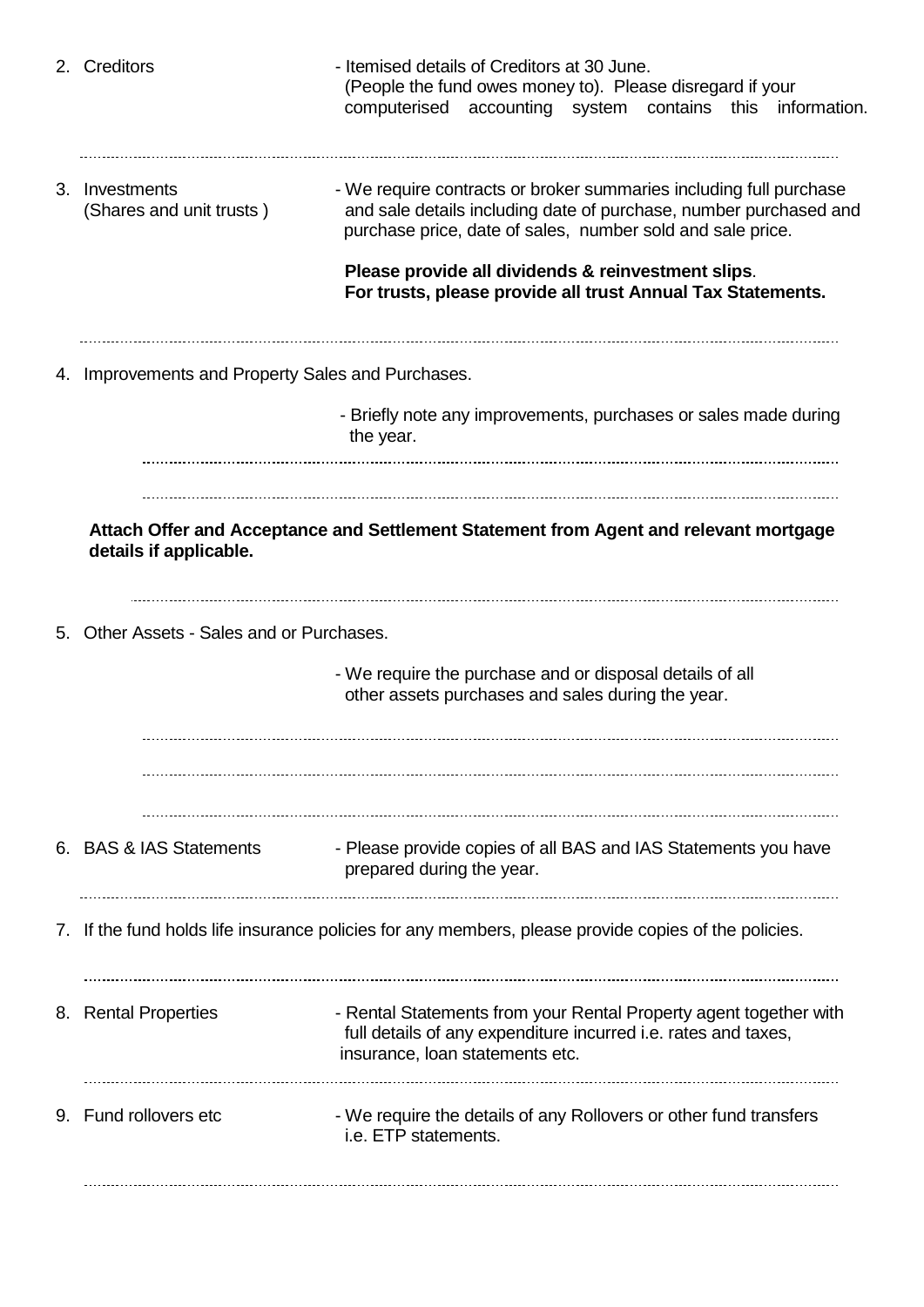|  | 2. Creditors                                                                                         | - Itemised details of Creditors at 30 June.<br>(People the fund owes money to). Please disregard if your<br>computerised accounting system contains this information.                                 |  |
|--|------------------------------------------------------------------------------------------------------|-------------------------------------------------------------------------------------------------------------------------------------------------------------------------------------------------------|--|
|  | 3. Investments<br>(Shares and unit trusts)                                                           | - We require contracts or broker summaries including full purchase<br>and sale details including date of purchase, number purchased and<br>purchase price, date of sales, number sold and sale price. |  |
|  |                                                                                                      | Please provide all dividends & reinvestment slips.<br>For trusts, please provide all trust Annual Tax Statements.                                                                                     |  |
|  | 4. Improvements and Property Sales and Purchases.                                                    |                                                                                                                                                                                                       |  |
|  |                                                                                                      | - Briefly note any improvements, purchases or sales made during<br>the year.                                                                                                                          |  |
|  | details if applicable.                                                                               | Attach Offer and Acceptance and Settlement Statement from Agent and relevant mortgage                                                                                                                 |  |
|  | 5. Other Assets - Sales and or Purchases.                                                            |                                                                                                                                                                                                       |  |
|  |                                                                                                      | - We require the purchase and or disposal details of all<br>other assets purchases and sales during the year.                                                                                         |  |
|  |                                                                                                      |                                                                                                                                                                                                       |  |
|  | 6. BAS & IAS Statements                                                                              | - Please provide copies of all BAS and IAS Statements you have<br>prepared during the year.                                                                                                           |  |
|  | 7. If the fund holds life insurance policies for any members, please provide copies of the policies. |                                                                                                                                                                                                       |  |
|  | 8. Rental Properties                                                                                 | - Rental Statements from your Rental Property agent together with<br>full details of any expenditure incurred i.e. rates and taxes,<br>insurance, loan statements etc.                                |  |
|  | 9. Fund rollovers etc                                                                                | - We require the details of any Rollovers or other fund transfers<br>i.e. ETP statements.                                                                                                             |  |
|  |                                                                                                      |                                                                                                                                                                                                       |  |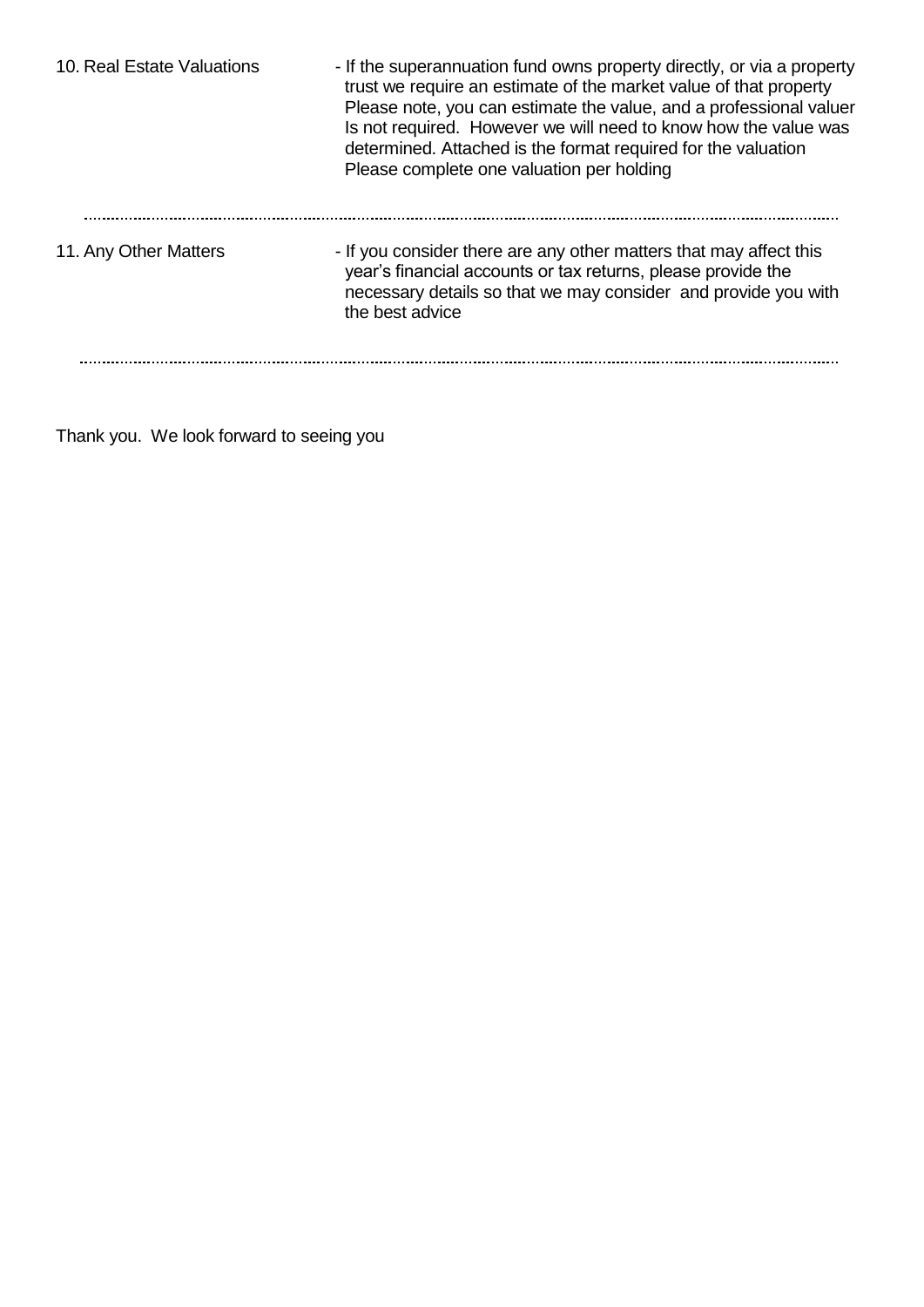| 10. Real Estate Valuations | - If the superannuation fund owns property directly, or via a property<br>trust we require an estimate of the market value of that property<br>Please note, you can estimate the value, and a professional valuer<br>Is not required. However we will need to know how the value was<br>determined. Attached is the format required for the valuation<br>Please complete one valuation per holding |
|----------------------------|----------------------------------------------------------------------------------------------------------------------------------------------------------------------------------------------------------------------------------------------------------------------------------------------------------------------------------------------------------------------------------------------------|
| 11. Any Other Matters      | - If you consider there are any other matters that may affect this<br>year's financial accounts or tax returns, please provide the<br>necessary details so that we may consider and provide you with<br>the best advice                                                                                                                                                                            |
|                            |                                                                                                                                                                                                                                                                                                                                                                                                    |

Thank you. We look forward to seeing you